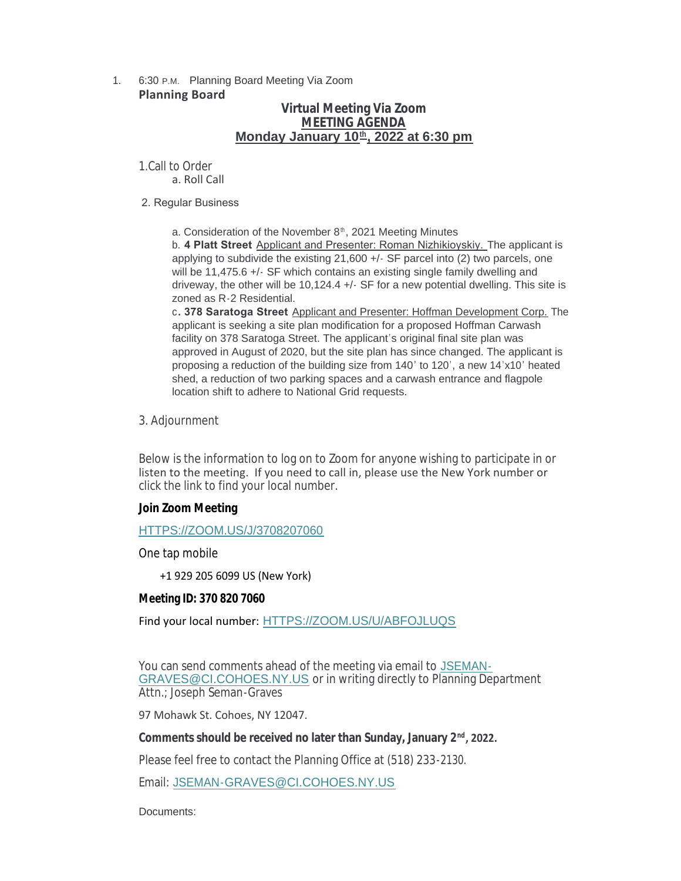### 1. 6:30 P.M. Planning Board Meeting Via Zoom **Planning Board**

# **Virtual Meeting Via Zoom MEETING AGENDA Monday January 10<sup>th</sup>, 2022 at 6:30 pm**

1.Call to Order a. Roll Call

### 2. Regular Business

a. Consideration of the November 8<sup>th</sup>, 2021 Meeting Minutes

b. **4 Platt Street** Applicant and Presenter: Roman Nizhikioyskiy. The applicant is applying to subdivide the existing 21,600 +/- SF parcel into (2) two parcels, one will be 11,475.6 +/- SF which contains an existing single family dwelling and driveway, the other will be 10,124.4 +/- SF for a new potential dwelling. This site is zoned as R-2 Residential.

c**. 378 Saratoga Street** Applicant and Presenter: Hoffman Development Corp. The applicant is seeking a site plan modification for a proposed Hoffman Carwash facility on 378 Saratoga Street. The applicant's original final site plan was approved in August of 2020, but the site plan has since changed. The applicant is proposing a reduction of the building size from 140' to 120', a new 14'x10' heated shed, a reduction of two parking spaces and a carwash entrance and flagpole location shift to adhere to National Grid requests.

3. Adjournment

Below is the information to log on to Zoom for anyone wishing to participate in or listen to the meeting. If you need to call in, please use the New York number or click the link to find your local number.

## **Join Zoom Meeting**

[HTTPS://ZOOM.US/J/3708207060](https://zoom.us/j/3708207060)

One tap mobile

+1 929 205 6099 US (New York)

### **Meeting ID: 370 820 7060**

Find your local number: [HTTPS://ZOOM.US/U/ABFOJLUQS](https://zoom.us/u/abFoJLUQs)

You can send comments ahead of the meeting via email to JSEMAN-GRAVES@CI.COHOES.NY.US or in writing directly to P[lanning Department](mailto:jseman-graves@ci.cohoes.ny.us)  Attn.; Joseph Seman-Graves

97 Mohawk St. Cohoes, NY 12047.

# Comments should be received no later than Sunday, January 2<sup>nd</sup>, 2022.

Please feel free to contact the Planning Office at (518) 233-2130.

Email: [JSEMAN-GRAVES@CI.COHOES.NY.US](mailto:Jseman-graves@ci.cohoes.ny.us)

Documents: